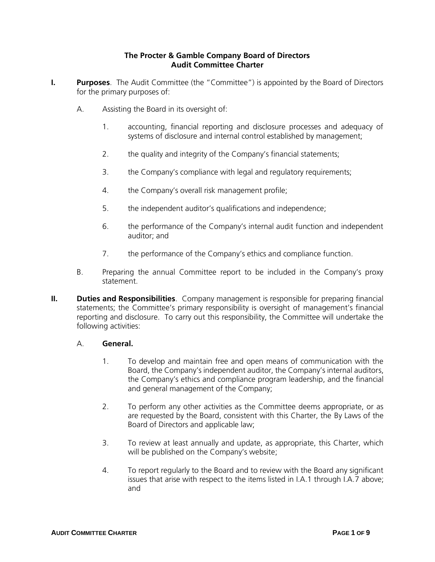#### **The Procter & Gamble Company Board of Directors Audit Committee Charter**

- **I. Purposes**. The Audit Committee (the "Committee") is appointed by the Board of Directors for the primary purposes of:
	- A. Assisting the Board in its oversight of:
		- 1. accounting, financial reporting and disclosure processes and adequacy of systems of disclosure and internal control established by management;
		- 2. the quality and integrity of the Company's financial statements;
		- 3. the Company's compliance with legal and regulatory requirements;
		- 4. the Company's overall risk management profile;
		- 5. the independent auditor's qualifications and independence;
		- 6. the performance of the Company's internal audit function and independent auditor; and
		- 7. the performance of the Company's ethics and compliance function.
	- B. Preparing the annual Committee report to be included in the Company's proxy statement.
- **II. Duties and Responsibilities**. Company management is responsible for preparing financial statements; the Committee's primary responsibility is oversight of management's financial reporting and disclosure. To carry out this responsibility, the Committee will undertake the following activities:

## A. **General.**

- 1. To develop and maintain free and open means of communication with the Board, the Company's independent auditor, the Company's internal auditors, the Company's ethics and compliance program leadership, and the financial and general management of the Company;
- 2. To perform any other activities as the Committee deems appropriate, or as are requested by the Board, consistent with this Charter, the By Laws of the Board of Directors and applicable law;
- 3. To review at least annually and update, as appropriate, this Charter, which will be published on the Company's website;
- 4. To report regularly to the Board and to review with the Board any significant issues that arise with respect to the items listed in I.A.1 through I.A.7 above; and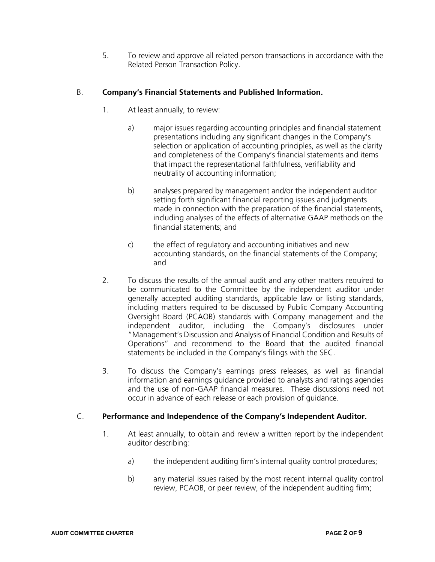5. To review and approve all related person transactions in accordance with the Related Person Transaction Policy.

## B. **Company's Financial Statements and Published Information.**

- 1. At least annually, to review:
	- a) major issues regarding accounting principles and financial statement presentations including any significant changes in the Company's selection or application of accounting principles, as well as the clarity and completeness of the Company's financial statements and items that impact the representational faithfulness, verifiability and neutrality of accounting information;
	- b) analyses prepared by management and/or the independent auditor setting forth significant financial reporting issues and judgments made in connection with the preparation of the financial statements, including analyses of the effects of alternative GAAP methods on the financial statements; and
	- c) the effect of regulatory and accounting initiatives and new accounting standards, on the financial statements of the Company; and
- 2. To discuss the results of the annual audit and any other matters required to be communicated to the Committee by the independent auditor under generally accepted auditing standards, applicable law or listing standards, including matters required to be discussed by Public Company Accounting Oversight Board (PCAOB) standards with Company management and the independent auditor, including the Company's disclosures under "Management's Discussion and Analysis of Financial Condition and Results of Operations" and recommend to the Board that the audited financial statements be included in the Company's filings with the SEC.
- 3. To discuss the Company's earnings press releases, as well as financial information and earnings guidance provided to analysts and ratings agencies and the use of non-GAAP financial measures. These discussions need not occur in advance of each release or each provision of guidance.

## C. **Performance and Independence of the Company's Independent Auditor.**

- 1. At least annually, to obtain and review a written report by the independent auditor describing:
	- a) the independent auditing firm's internal quality control procedures;
	- b) any material issues raised by the most recent internal quality control review, PCAOB, or peer review, of the independent auditing firm;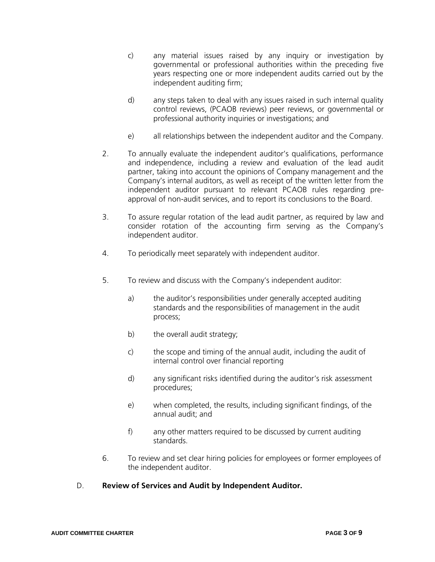- c) any material issues raised by any inquiry or investigation by governmental or professional authorities within the preceding five years respecting one or more independent audits carried out by the independent auditing firm;
- d) any steps taken to deal with any issues raised in such internal quality control reviews, (PCAOB reviews) peer reviews, or governmental or professional authority inquiries or investigations; and
- e) all relationships between the independent auditor and the Company.
- 2. To annually evaluate the independent auditor's qualifications, performance and independence, including a review and evaluation of the lead audit partner, taking into account the opinions of Company management and the Company's internal auditors, as well as receipt of the written letter from the independent auditor pursuant to relevant PCAOB rules regarding preapproval of non-audit services, and to report its conclusions to the Board.
- 3. To assure regular rotation of the lead audit partner, as required by law and consider rotation of the accounting firm serving as the Company's independent auditor.
- 4. To periodically meet separately with independent auditor.
- 5. To review and discuss with the Company's independent auditor:
	- a) the auditor's responsibilities under generally accepted auditing standards and the responsibilities of management in the audit process;
	- b) the overall audit strategy;
	- c) the scope and timing of the annual audit, including the audit of internal control over financial reporting
	- d) any significant risks identified during the auditor's risk assessment procedures;
	- e) when completed, the results, including significant findings, of the annual audit; and
	- f) any other matters required to be discussed by current auditing standards.
- 6. To review and set clear hiring policies for employees or former employees of the independent auditor.
- D. **Review of Services and Audit by Independent Auditor.**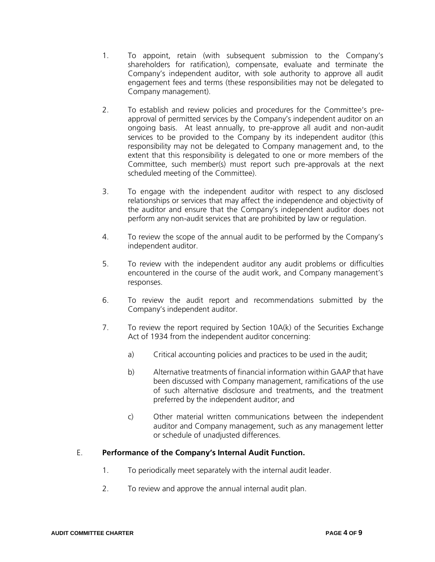- 1. To appoint, retain (with subsequent submission to the Company's shareholders for ratification), compensate, evaluate and terminate the Company's independent auditor, with sole authority to approve all audit engagement fees and terms (these responsibilities may not be delegated to Company management).
- 2. To establish and review policies and procedures for the Committee's preapproval of permitted services by the Company's independent auditor on an ongoing basis. At least annually, to pre-approve all audit and non-audit services to be provided to the Company by its independent auditor (this responsibility may not be delegated to Company management and, to the extent that this responsibility is delegated to one or more members of the Committee, such member(s) must report such pre-approvals at the next scheduled meeting of the Committee).
- 3. To engage with the independent auditor with respect to any disclosed relationships or services that may affect the independence and objectivity of the auditor and ensure that the Company's independent auditor does not perform any non-audit services that are prohibited by law or regulation.
- 4. To review the scope of the annual audit to be performed by the Company's independent auditor.
- 5. To review with the independent auditor any audit problems or difficulties encountered in the course of the audit work, and Company management's responses.
- 6. To review the audit report and recommendations submitted by the Company's independent auditor.
- 7. To review the report required by Section 10A(k) of the Securities Exchange Act of 1934 from the independent auditor concerning:
	- a) Critical accounting policies and practices to be used in the audit;
	- b) Alternative treatments of financial information within GAAP that have been discussed with Company management, ramifications of the use of such alternative disclosure and treatments, and the treatment preferred by the independent auditor; and
	- c) Other material written communications between the independent auditor and Company management, such as any management letter or schedule of unadjusted differences.

# E. **Performance of the Company's Internal Audit Function.**

- 1. To periodically meet separately with the internal audit leader.
- 2. To review and approve the annual internal audit plan.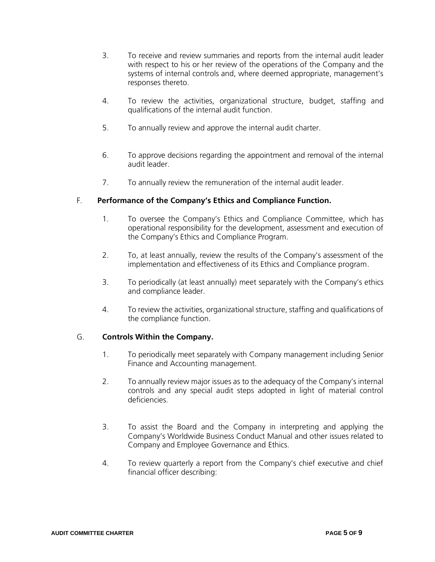- 3. To receive and review summaries and reports from the internal audit leader with respect to his or her review of the operations of the Company and the systems of internal controls and, where deemed appropriate, management's responses thereto.
- 4. To review the activities, organizational structure, budget, staffing and qualifications of the internal audit function.
- 5. To annually review and approve the internal audit charter.
- 6. To approve decisions regarding the appointment and removal of the internal audit leader.
- 7. To annually review the remuneration of the internal audit leader.

#### F. **Performance of the Company's Ethics and Compliance Function.**

- 1. To oversee the Company's Ethics and Compliance Committee, which has operational responsibility for the development, assessment and execution of the Company's Ethics and Compliance Program.
- 2. To, at least annually, review the results of the Company's assessment of the implementation and effectiveness of its Ethics and Compliance program.
- 3. To periodically (at least annually) meet separately with the Company's ethics and compliance leader.
- 4. To review the activities, organizational structure, staffing and qualifications of the compliance function.

## G. **Controls Within the Company.**

- 1. To periodically meet separately with Company management including Senior Finance and Accounting management.
- 2. To annually review major issues as to the adequacy of the Company's internal controls and any special audit steps adopted in light of material control deficiencies.
- 3. To assist the Board and the Company in interpreting and applying the Company's Worldwide Business Conduct Manual and other issues related to Company and Employee Governance and Ethics.
- 4. To review quarterly a report from the Company's chief executive and chief financial officer describing: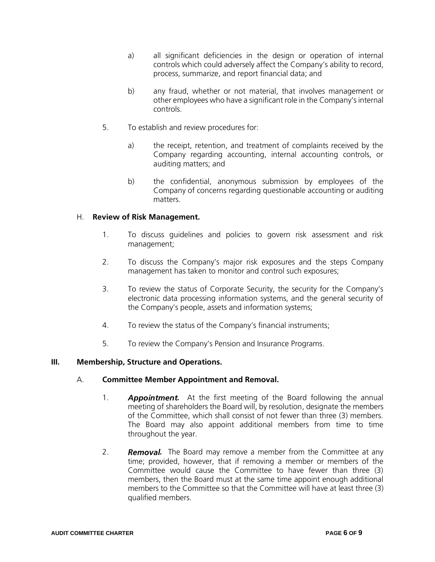- a) all significant deficiencies in the design or operation of internal controls which could adversely affect the Company's ability to record, process, summarize, and report financial data; and
- b) any fraud, whether or not material, that involves management or other employees who have a significant role in the Company's internal controls.
- 5. To establish and review procedures for:
	- a) the receipt, retention, and treatment of complaints received by the Company regarding accounting, internal accounting controls, or auditing matters; and
	- b) the confidential, anonymous submission by employees of the Company of concerns regarding questionable accounting or auditing matters.

#### H. **Review of Risk Management.**

- 1. To discuss guidelines and policies to govern risk assessment and risk management;
- 2. To discuss the Company's major risk exposures and the steps Company management has taken to monitor and control such exposures;
- 3. To review the status of Corporate Security, the security for the Company's electronic data processing information systems, and the general security of the Company's people, assets and information systems;
- 4. To review the status of the Company's financial instruments;
- 5. To review the Company's Pension and Insurance Programs.

#### **III. Membership, Structure and Operations.**

#### A. **Committee Member Appointment and Removal.**

- 1. **Appointment.** At the first meeting of the Board following the annual meeting of shareholders the Board will, by resolution, designate the members of the Committee, which shall consist of not fewer than three (3) members. The Board may also appoint additional members from time to time throughout the year.
- 2. **Removal.** The Board may remove a member from the Committee at any time; provided, however, that if removing a member or members of the Committee would cause the Committee to have fewer than three (3) members, then the Board must at the same time appoint enough additional members to the Committee so that the Committee will have at least three (3) qualified members.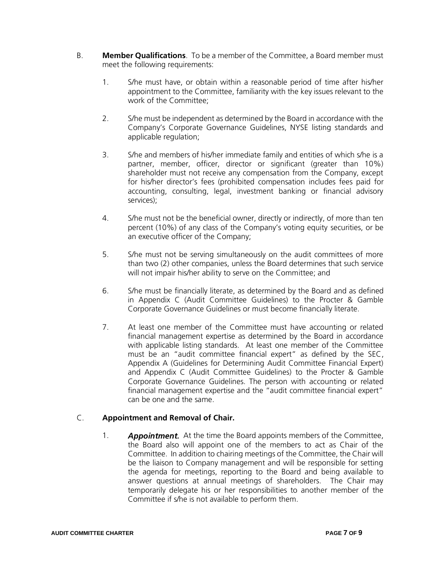- B. **Member Qualifications**. To be a member of the Committee, a Board member must meet the following requirements:
	- 1. S/he must have, or obtain within a reasonable period of time after his/her appointment to the Committee, familiarity with the key issues relevant to the work of the Committee;
	- 2. S/he must be independent as determined by the Board in accordance with the Company's Corporate Governance Guidelines, NYSE listing standards and applicable regulation;
	- 3. S/he and members of his/her immediate family and entities of which s/he is a partner, member, officer, director or significant (greater than 10%) shareholder must not receive any compensation from the Company, except for his/her director's fees (prohibited compensation includes fees paid for accounting, consulting, legal, investment banking or financial advisory services);
	- 4. S/he must not be the beneficial owner, directly or indirectly, of more than ten percent (10%) of any class of the Company's voting equity securities, or be an executive officer of the Company;
	- 5. S/he must not be serving simultaneously on the audit committees of more than two (2) other companies, unless the Board determines that such service will not impair his/her ability to serve on the Committee; and
	- 6. S/he must be financially literate, as determined by the Board and as defined in Appendix C (Audit Committee Guidelines) to the Procter & Gamble Corporate Governance Guidelines or must become financially literate.
	- 7. At least one member of the Committee must have accounting or related financial management expertise as determined by the Board in accordance with applicable listing standards. At least one member of the Committee must be an "audit committee financial expert" as defined by the SEC, Appendix A (Guidelines for Determining Audit Committee Financial Expert) and Appendix C (Audit Committee Guidelines) to the Procter & Gamble Corporate Governance Guidelines. The person with accounting or related financial management expertise and the "audit committee financial expert" can be one and the same.

# C. **Appointment and Removal of Chair.**

1. **Appointment.** At the time the Board appoints members of the Committee, the Board also will appoint one of the members to act as Chair of the Committee. In addition to chairing meetings of the Committee, the Chair will be the liaison to Company management and will be responsible for setting the agenda for meetings, reporting to the Board and being available to answer questions at annual meetings of shareholders. The Chair may temporarily delegate his or her responsibilities to another member of the Committee if s/he is not available to perform them.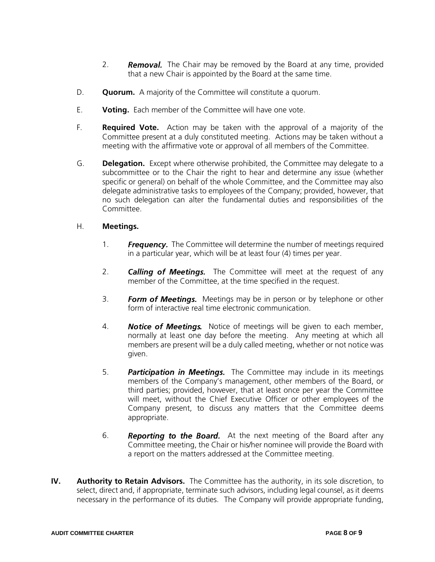- 2. **Removal.** The Chair may be removed by the Board at any time, provided that a new Chair is appointed by the Board at the same time.
- D. **Quorum.** A majority of the Committee will constitute a quorum.
- E. **Voting.** Each member of the Committee will have one vote.
- F. **Required Vote.** Action may be taken with the approval of a majority of the Committee present at a duly constituted meeting. Actions may be taken without a meeting with the affirmative vote or approval of all members of the Committee.
- G. **Delegation.** Except where otherwise prohibited, the Committee may delegate to a subcommittee or to the Chair the right to hear and determine any issue (whether specific or general) on behalf of the whole Committee, and the Committee may also delegate administrative tasks to employees of the Company; provided, however, that no such delegation can alter the fundamental duties and responsibilities of the Committee.

## H. **Meetings.**

- 1. **Frequency.** The Committee will determine the number of meetings required in a particular year, which will be at least four (4) times per year.
- 2. **Calling of Meetings.** The Committee will meet at the request of any member of the Committee, at the time specified in the request.
- 3. **Form of Meetings.** Meetings may be in person or by telephone or other form of interactive real time electronic communication.
- 4. **Notice of Meetings.** Notice of meetings will be given to each member, normally at least one day before the meeting. Any meeting at which all members are present will be a duly called meeting, whether or not notice was given.
- 5. Participation in Meetings. The Committee may include in its meetings members of the Company's management, other members of the Board, or third parties; provided, however, that at least once per year the Committee will meet, without the Chief Executive Officer or other employees of the Company present, to discuss any matters that the Committee deems appropriate.
- 6. **Reporting to the Board.** At the next meeting of the Board after any Committee meeting, the Chair or his/her nominee will provide the Board with a report on the matters addressed at the Committee meeting.
- **IV. Authority to Retain Advisors.** The Committee has the authority, in its sole discretion, to select, direct and, if appropriate, terminate such advisors, including legal counsel, as it deems necessary in the performance of its duties. The Company will provide appropriate funding,